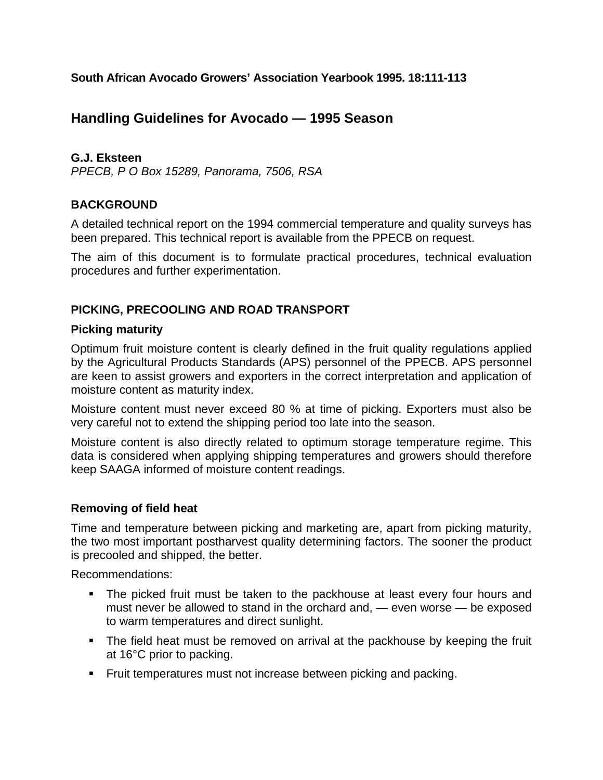**South African Avocado Growers' Association Yearbook 1995. 18:111-113** 

# **Handling Guidelines for Avocado — 1995 Season**

### **G.J. Eksteen**

*PPECB, P O Box 15289, Panorama, 7506, RSA* 

### **BACKGROUND**

A detailed technical report on the 1994 commercial temperature and quality surveys has been prepared. This technical report is available from the PPECB on request.

The aim of this document is to formulate practical procedures, technical evaluation procedures and further experimentation.

### **PICKING, PRECOOLING AND ROAD TRANSPORT**

### **Picking maturity**

Optimum fruit moisture content is clearly defined in the fruit quality regulations applied by the Agricultural Products Standards (APS) personnel of the PPECB. APS personnel are keen to assist growers and exporters in the correct interpretation and application of moisture content as maturity index.

Moisture content must never exceed 80 % at time of picking. Exporters must also be very careful not to extend the shipping period too late into the season.

Moisture content is also directly related to optimum storage temperature regime. This data is considered when applying shipping temperatures and growers should therefore keep SAAGA informed of moisture content readings.

### **Removing of field heat**

Time and temperature between picking and marketing are, apart from picking maturity, the two most important postharvest quality determining factors. The sooner the product is precooled and shipped, the better.

Recommendations:

- The picked fruit must be taken to the packhouse at least every four hours and must never be allowed to stand in the orchard and, — even worse — be exposed to warm temperatures and direct sunlight.
- The field heat must be removed on arrival at the packhouse by keeping the fruit at 16°C prior to packing.
- **Filt** Fruit temperatures must not increase between picking and packing.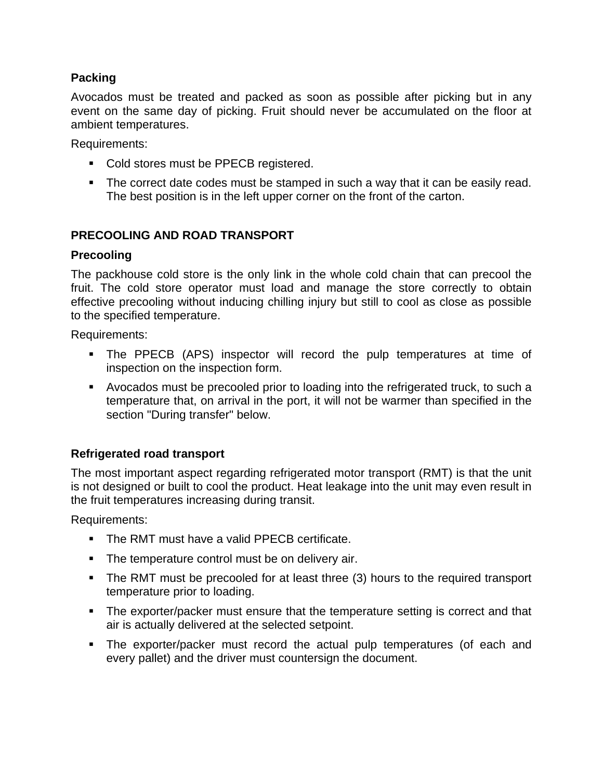# **Packing**

Avocados must be treated and packed as soon as possible after picking but in any event on the same day of picking. Fruit should never be accumulated on the floor at ambient temperatures.

Requirements:

- Cold stores must be PPECB registered.
- The correct date codes must be stamped in such a way that it can be easily read. The best position is in the left upper corner on the front of the carton.

### **PRECOOLING AND ROAD TRANSPORT**

### **Precooling**

The packhouse cold store is the only link in the whole cold chain that can precool the fruit. The cold store operator must load and manage the store correctly to obtain effective precooling without inducing chilling injury but still to cool as close as possible to the specified temperature.

Requirements:

- The PPECB (APS) inspector will record the pulp temperatures at time of inspection on the inspection form.
- Avocados must be precooled prior to loading into the refrigerated truck, to such a temperature that, on arrival in the port, it will not be warmer than specified in the section "During transfer" below.

### **Refrigerated road transport**

The most important aspect regarding refrigerated motor transport (RMT) is that the unit is not designed or built to cool the product. Heat leakage into the unit may even result in the fruit temperatures increasing during transit.

Requirements:

- **The RMT must have a valid PPECB certificate.**
- **The temperature control must be on delivery air.**
- The RMT must be precooled for at least three (3) hours to the required transport temperature prior to loading.
- The exporter/packer must ensure that the temperature setting is correct and that air is actually delivered at the selected setpoint.
- The exporter/packer must record the actual pulp temperatures (of each and every pallet) and the driver must countersign the document.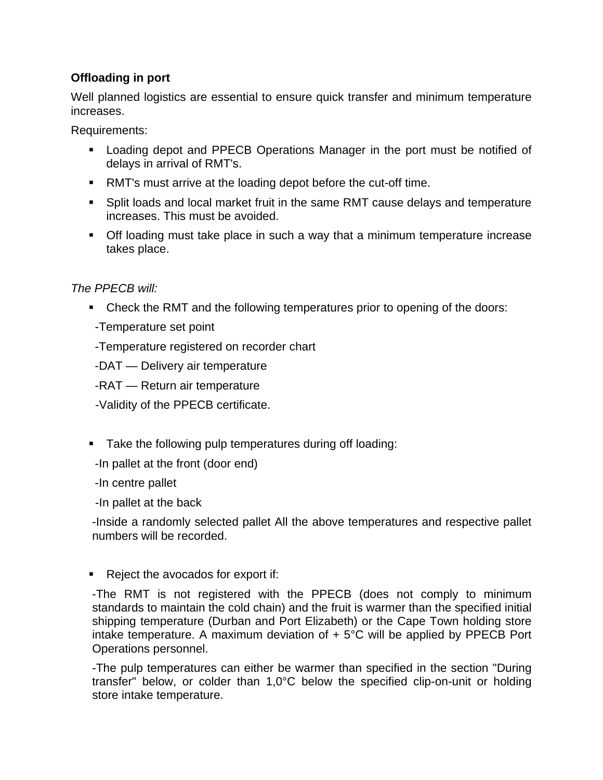# **Offloading in port**

Well planned logistics are essential to ensure quick transfer and minimum temperature increases.

Requirements:

- Loading depot and PPECB Operations Manager in the port must be notified of delays in arrival of RMT's.
- RMT's must arrive at the loading depot before the cut-off time.
- Split loads and local market fruit in the same RMT cause delays and temperature increases. This must be avoided.
- Off loading must take place in such a way that a minimum temperature increase takes place.

# *The PPECB will:*

- Check the RMT and the following temperatures prior to opening of the doors:
- -Temperature set point
- -Temperature registered on recorder chart
- -DAT Delivery air temperature
- -RAT Return air temperature
- -Validity of the PPECB certificate.
- **Take the following pulp temperatures during off loading:**
- -In pallet at the front (door end)
- -In centre pallet
- -In pallet at the back

 -Inside a randomly selected pallet All the above temperatures and respective pallet numbers will be recorded.

 $\blacksquare$  Reject the avocados for export if:

 -The RMT is not registered with the PPECB (does not comply to minimum standards to maintain the cold chain) and the fruit is warmer than the specified initial shipping temperature (Durban and Port Elizabeth) or the Cape Town holding store intake temperature. A maximum deviation of  $+5^{\circ}$ C will be applied by PPECB Port Operations personnel.

 -The pulp temperatures can either be warmer than specified in the section "During transfer" below, or colder than 1,0°C below the specified clip-on-unit or holding store intake temperature.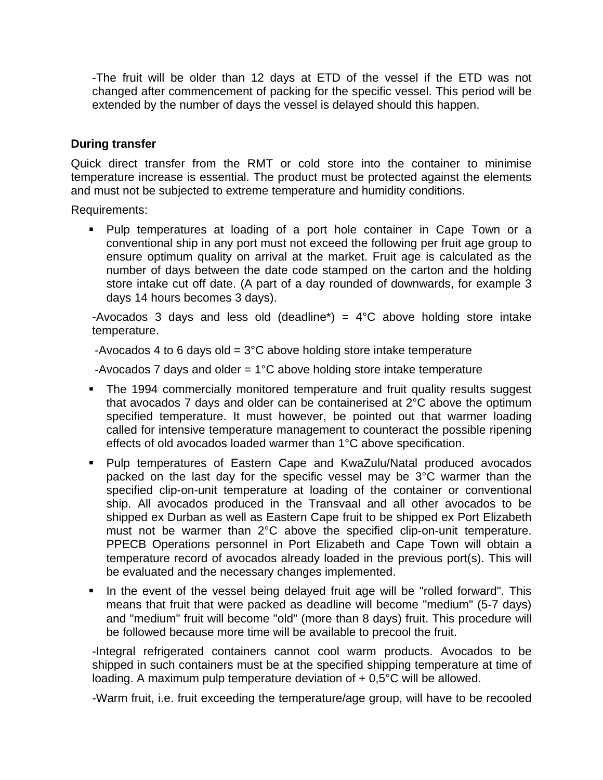-The fruit will be older than 12 days at ETD of the vessel if the ETD was not changed after commencement of packing for the specific vessel. This period will be extended by the number of days the vessel is delayed should this happen.

### **During transfer**

Quick direct transfer from the RMT or cold store into the container to minimise temperature increase is essential. The product must be protected against the elements and must not be subjected to extreme temperature and humidity conditions.

Requirements:

 Pulp temperatures at loading of a port hole container in Cape Town or a conventional ship in any port must not exceed the following per fruit age group to ensure optimum quality on arrival at the market. Fruit age is calculated as the number of days between the date code stamped on the carton and the holding store intake cut off date. (A part of a day rounded of downwards, for example 3 days 14 hours becomes 3 days).

-Avocados 3 days and less old (deadline\*) =  $4^{\circ}$ C above holding store intake temperature.

-Avocados 4 to 6 days old =  $3^{\circ}$ C above holding store intake temperature

-Avocados 7 days and older  $= 1^{\circ}$ C above holding store intake temperature

- The 1994 commercially monitored temperature and fruit quality results suggest that avocados 7 days and older can be containerised at 2°C above the optimum specified temperature. It must however, be pointed out that warmer loading called for intensive temperature management to counteract the possible ripening effects of old avocados loaded warmer than 1°C above specification.
- Pulp temperatures of Eastern Cape and KwaZulu/Natal produced avocados packed on the last day for the specific vessel may be 3°C warmer than the specified clip-on-unit temperature at loading of the container or conventional ship. All avocados produced in the Transvaal and all other avocados to be shipped ex Durban as well as Eastern Cape fruit to be shipped ex Port Elizabeth must not be warmer than 2°C above the specified clip-on-unit temperature. PPECB Operations personnel in Port Elizabeth and Cape Town will obtain a temperature record of avocados already loaded in the previous port(s). This will be evaluated and the necessary changes implemented.
- In the event of the vessel being delayed fruit age will be "rolled forward". This means that fruit that were packed as deadline will become "medium" (5-7 days) and "medium" fruit will become "old" (more than 8 days) fruit. This procedure will be followed because more time will be available to precool the fruit.

 -Integral refrigerated containers cannot cool warm products. Avocados to be shipped in such containers must be at the specified shipping temperature at time of loading. A maximum pulp temperature deviation of  $+0.5^{\circ}$ C will be allowed.

-Warm fruit, i.e. fruit exceeding the temperature/age group, will have to be recooled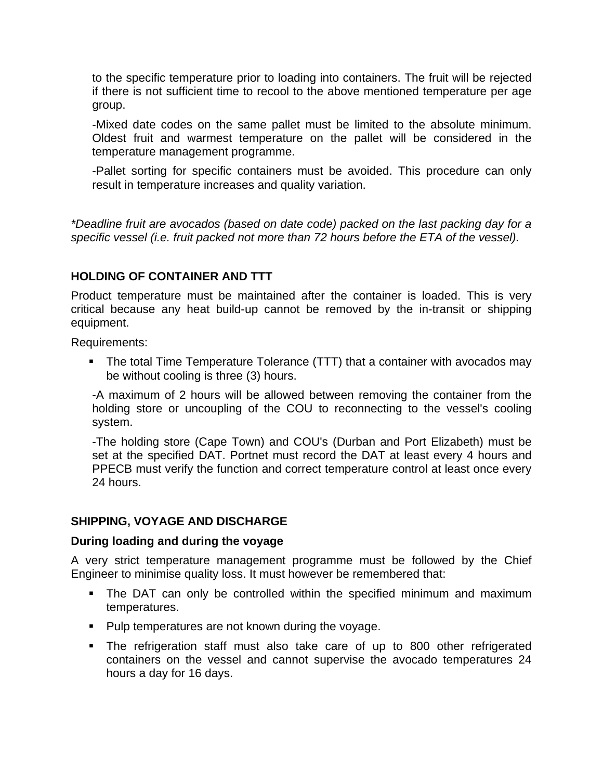to the specific temperature prior to loading into containers. The fruit will be rejected if there is not sufficient time to recool to the above mentioned temperature per age group.

-Mixed date codes on the same pallet must be limited to the absolute minimum. Oldest fruit and warmest temperature on the pallet will be considered in the temperature management programme.

 -Pallet sorting for specific containers must be avoided. This procedure can only result in temperature increases and quality variation.

*\*Deadline fruit are avocados (based on date code) packed on the last packing day for a specific vessel (i.e. fruit packed not more than 72 hours before the ETA of the vessel).* 

# **HOLDING OF CONTAINER AND TTT**

Product temperature must be maintained after the container is loaded. This is very critical because any heat build-up cannot be removed by the in-transit or shipping equipment.

Requirements:

 The total Time Temperature Tolerance (TTT) that a container with avocados may be without cooling is three (3) hours.

 -A maximum of 2 hours will be allowed between removing the container from the holding store or uncoupling of the COU to reconnecting to the vessel's cooling system.

-The holding store (Cape Town) and COU's (Durban and Port Elizabeth) must be set at the specified DAT. Portnet must record the DAT at least every 4 hours and PPECB must verify the function and correct temperature control at least once every 24 hours.

### **SHIPPING, VOYAGE AND DISCHARGE**

### **During loading and during the voyage**

A very strict temperature management programme must be followed by the Chief Engineer to minimise quality loss. It must however be remembered that:

- The DAT can only be controlled within the specified minimum and maximum temperatures.
- **Pulp temperatures are not known during the voyage.**
- The refrigeration staff must also take care of up to 800 other refrigerated containers on the vessel and cannot supervise the avocado temperatures 24 hours a day for 16 days.